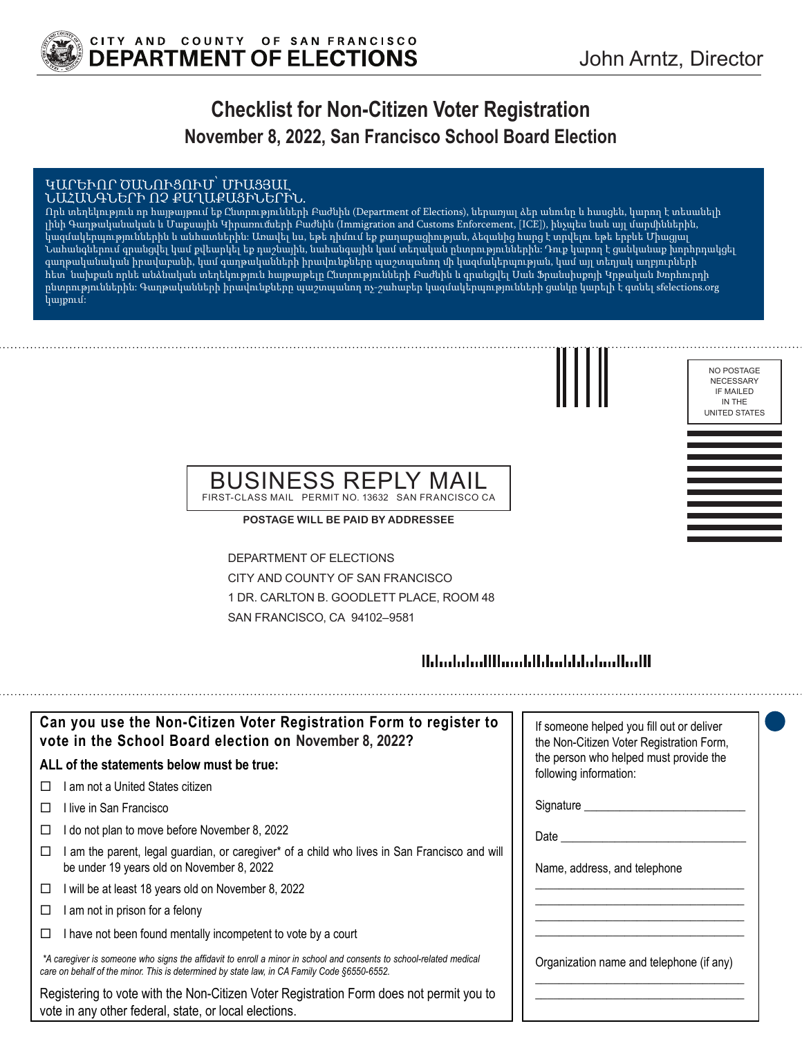

# **Checklist for Non-Citizen Voter Registration November 8, 2022, San Francisco School Board Election**

#### ԿԱՐԵՒՈՐ ԾԱՆՈՒՑՈՒՄ՝ ՄԻԱՑՅԱԼ ՆԱՀԱՆԳՆԵՐԻ ՈՉ ՔԱՂԱՔԱՑԻՆԵՐԻՆ.

Որև տեղեկություն որ հայթայթում եք Ընտրությունների Բաժնին (Department of Elections), ներառյալ ձեր անունը և հասցեն, կարող է տեսանելի լինի Գաղթականական և Մաքսային Կիրառումների Բաժնին (Immigration and Customs Enforcement, [ICE]), ինչպես նաև այլ մարմիններին, կազմակերպություններին և անհատներին: Առավել ևս, եթե դիմում եք քաղաքացիության, ձեզանից հարց է տրվելու եթե երբևե Միացյալ Նահանգներում գրանցվել կամ քվեարկել եք դաշնային, նահանգային կամ տեղական ընտրություններին: Դուք կարող է ցանկանաք խորհրդակցել գաղթականական իրավաբանի, կամ գաղթականների իրավունքները պաշտպանող մի կազմակերպության, կամ այլ տեղյակ աղբյուրների հետ՝ նախքան որևե անձնական տեղեկություն հայթայթելը Ընտրությունների Բաժնին և գրանցվել Սան Ֆրանսիսքոյի Կրթական Խորհուրդի ընտրություններին: Գաղթականների իրավունքները պաշտպանող ոչ-շահաբեր կազմակերպությունների ցանկը կարելի է գտնել sfelections.org կայքում:



| NO POSTAGE           |
|----------------------|
| NECESSARY            |
| IF MAILED            |
| IN THE               |
| <b>UNITED STATES</b> |

### BUSINESS REPLY MAIL FIRST-CLASS MAIL PERMIT NO. 13632 SAN FRANCISCO CA

**POSTAGE WILL BE PAID BY ADDRESSEE**

DEPARTMENT OF ELECTIONS CITY AND COUNTY OF SAN FRANCISCO 1 DR. CARLTON B. GOODLETT PLACE, ROOM 48 SAN FRANCISCO, CA 94102–9581

## 

| Can you use the Non-Citizen Voter Registration Form to register to<br>vote in the School Board election on November 8, 2022?                                                                                      | If someone helped you fill out or deliver<br>the Non-Citizen Voter Registration Form, |
|-------------------------------------------------------------------------------------------------------------------------------------------------------------------------------------------------------------------|---------------------------------------------------------------------------------------|
| ALL of the statements below must be true:                                                                                                                                                                         | the person who helped must provide the<br>following information:                      |
| am not a United States citizen<br>$\perp$                                                                                                                                                                         |                                                                                       |
| ⊟live in San Francisco                                                                                                                                                                                            | Signature _________                                                                   |
| do not plan to move before November 8, 2022                                                                                                                                                                       | Date                                                                                  |
| am the parent, legal guardian, or caregiver* of a child who lives in San Francisco and will<br>be under 19 years old on November 8, 2022                                                                          | Name, address, and telephone                                                          |
| will be at least 18 years old on November 8, 2022<br>□                                                                                                                                                            |                                                                                       |
| am not in prison for a felony                                                                                                                                                                                     |                                                                                       |
| I have not been found mentally incompetent to vote by a court                                                                                                                                                     |                                                                                       |
| *A caregiver is someone who signs the affidavit to enroll a minor in school and consents to school-related medical<br>care on behalf of the minor. This is determined by state law, in CA Family Code §6550-6552. | Organization name and telephone (if any)                                              |
| Registering to vote with the Non-Citizen Voter Registration Form does not permit you to<br>vote in any other federal, state, or local elections.                                                                  |                                                                                       |